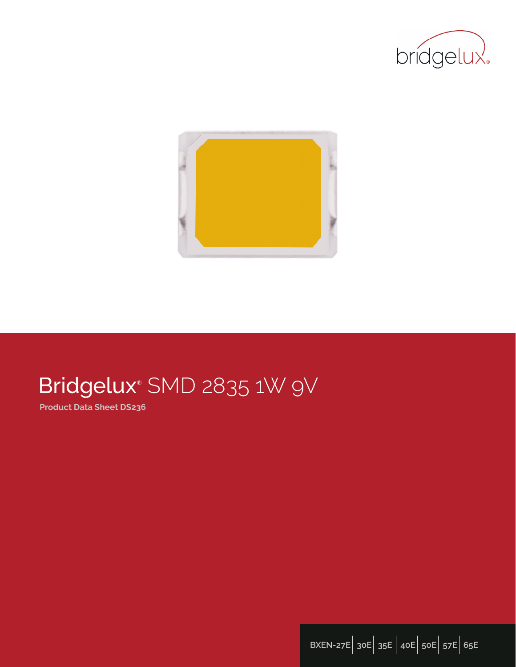



# Bridgelux® SMD 2835 1W 9V

**Product Data Sheet DS236**

**BXEN-27E**| **30E**| **35E** | **40E**| **50E**| **57E**| **65E**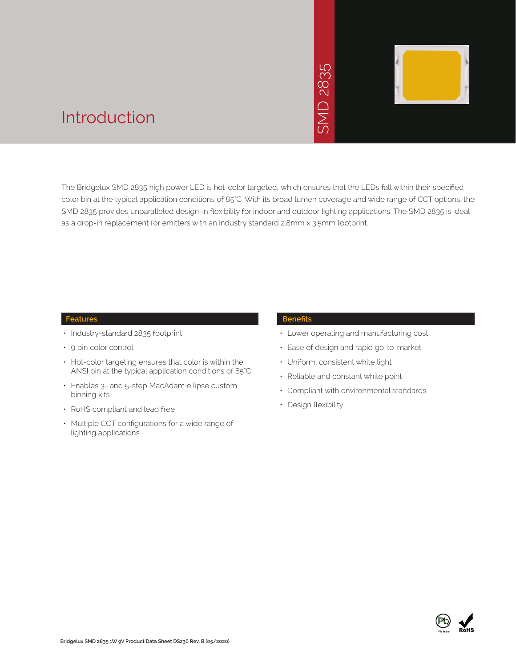

### Introduction

The Bridgelux SMD 2835 high power LED is hot-color targeted, which ensures that the LEDs fall within their specified color bin at the typical application conditions of 85°C. With its broad lumen coverage and wide range of CCT options, the SMD 2835 provides unparalleled design-in flexibility for indoor and outdoor lighting applications. The SMD 2835 is ideal as a drop-in replacement for emitters with an industry standard 2.8mm x 3.5mm footprint.<br>The Bridgelux SMD 2835 high power LED is hot-color targeted, which ensures that the LE<br>Color bin at the typical application condition

#### **Features**

- Industry-standard 2835 footprint
- 9 bin color control
- Hot-color targeting ensures that color is within the ANSI bin at the typical application conditions of 85°C
- Enables 3- and 5-step MacAdam ellipse custom binning kits
- RoHS compliant and lead free
- Multiple CCT configurations for a wide range of lighting applications

#### **Benefits**

- Lower operating and manufacturing cost
- Ease of design and rapid go-to-market
- Uniform, consistent white light
- Reliable and constant white point
- Compliant with environmental standards
- Design flexibility

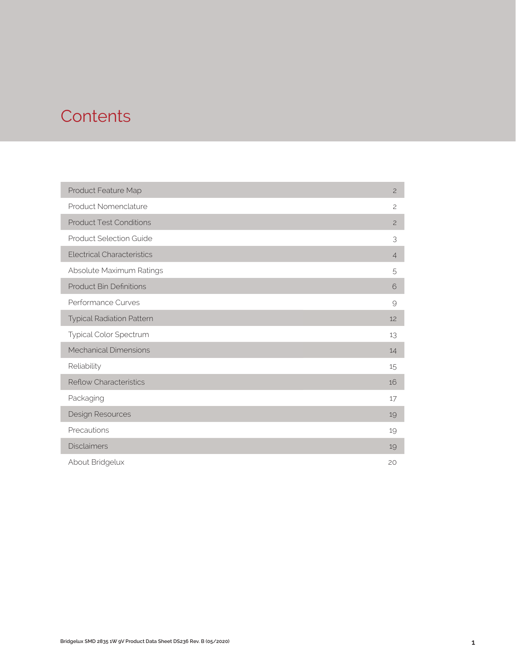## **Contents**

| Product Feature Map               | $\overline{c}$ |
|-----------------------------------|----------------|
| Product Nomenclature              | $\overline{c}$ |
| <b>Product Test Conditions</b>    | $\overline{c}$ |
| <b>Product Selection Guide</b>    | 3              |
| <b>Electrical Characteristics</b> | $\overline{4}$ |
| Absolute Maximum Ratings          | 5              |
| <b>Product Bin Definitions</b>    | 6              |
| Performance Curves                | 9              |
| <b>Typical Radiation Pattern</b>  | 12             |
| Typical Color Spectrum            | 13             |
| <b>Mechanical Dimensions</b>      | 14             |
| Reliability                       | 15             |
| <b>Reflow Characteristics</b>     | 16             |
| Packaging                         | 17             |
| Design Resources                  | 19             |
| Precautions                       | 19             |
| <b>Disclaimers</b>                | 19             |
| About Bridgelux                   | 20             |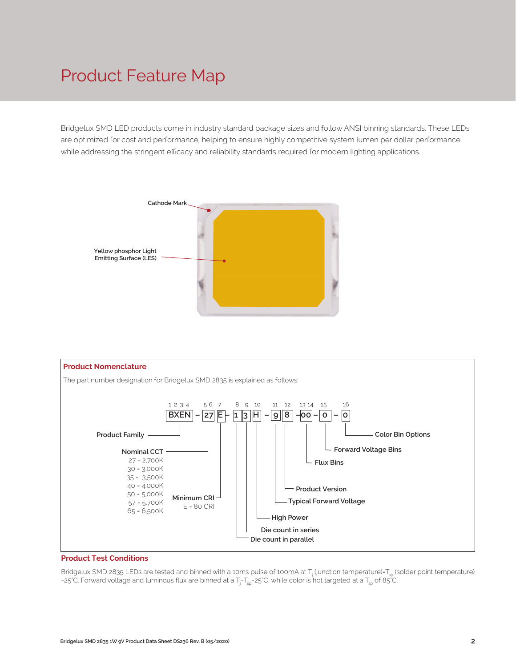## Product Feature Map

Bridgelux SMD LED products come in industry standard package sizes and follow ANSI binning standards. These LEDs are optimized for cost and performance, helping to ensure highly competitive system lumen per dollar performance while addressing the stringent efficacy and reliability standards required for modern lighting applications.





#### **Product Test Conditions**

Bridgelux SMD 2835 LEDs are tested and binned with a 10ms pulse of 100mA at T<sub>j</sub> (junction temperature)=T<sub>sp</sub> (solder point temperature) =25°C. Forward voltage and luminous flux are binned at a T<sub>j</sub>-T<sub>sp</sub>=25°C, while color is hot targeted at a T<sub>sp</sub> of 85°C.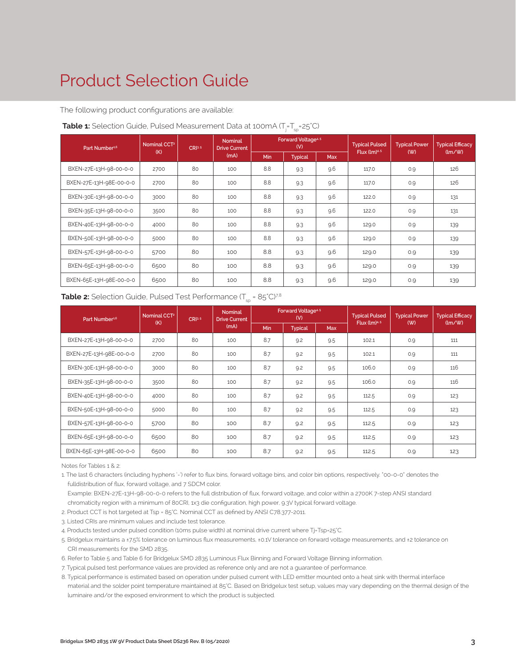# Product Selection Guide

The following product configurations are available:

| Part Number <sup>1,6</sup> | Nominal CCT <sup>2</sup> | CR <sup>3.5</sup> | <b>Nominal</b><br><b>Drive Current</b> |            | Forward Voltage <sup>4.5</sup><br>(V) |     | <b>Typical Pulsed</b> | <b>Typical Power</b> | <b>Typical Efficacy</b>              |
|----------------------------|--------------------------|-------------------|----------------------------------------|------------|---------------------------------------|-----|-----------------------|----------------------|--------------------------------------|
|                            | (K)                      |                   | (mA)                                   | <b>Min</b> | <b>Typical</b>                        | Max | Flux $(lm)^{4.5}$     | (W)                  | $\langle \text{Im}/\text{W} \rangle$ |
| BXEN-27E-13H-98-00-0-0     | 2700                     | 80                | 100                                    | 8.8        | 9.3                                   | 9.6 | 117.0                 | 0.9                  | 126                                  |
| BXEN-27E-13H-98E-00-0-0    | 2700                     | 80                | 100                                    | 8.8        | 9.3                                   | 9.6 | 117.0                 | 0.9                  | 126                                  |
| BXEN-30E-13H-98-00-0-0     | 3000                     | 80                | 100                                    | 8.8        | 9.3                                   | 9.6 | 122.0                 | 0.9                  | 131                                  |
| BXEN-35E-13H-98-00-0-0     | 3500                     | 80                | 100                                    | 8.8        | 9.3                                   | 9.6 | 122.0                 | 0.9                  | 131                                  |
| BXEN-40E-13H-98-00-0-0     | 4000                     | 80                | 100                                    | 8.8        | 9.3                                   | 9.6 | 129.0                 | 0.9                  | 139                                  |
| BXEN-50E-13H-98-00-0-0     | 5000                     | 80                | 100                                    | 8.8        | 9.3                                   | 9.6 | 129.0                 | 0.9                  | 139                                  |
| BXEN-57E-13H-98-00-0-0     | 5700                     | 80                | 100                                    | 8.8        | 9.3                                   | 9.6 | 129.0                 | 0.9                  | 139                                  |
| BXEN-65E-13H-98-00-0-0     | 6500                     | 80                | 100                                    | 8.8        | 9.3                                   | 9.6 | 129.0                 | O.9                  | 139                                  |
| BXEN-65E-13H-98E-00-0-0    | 6500                     | 80                | 100                                    | 8.8        | 9.3                                   | 9.6 | 129.0                 | 0.9                  | 139                                  |

#### **Table 1:** Selection Guide, Pulsed Measurement Data at 100mA (T<sub>j</sub>=T<sub>sp</sub>=25°C)

#### **Table 2:** Selection Guide, Pulsed Test Performance  $(T_{sn} = 85^{\circ}C)^{7,8}$

| Part Number <sup>1,6</sup> | Nominal CCT <sup>2</sup> | CRI3.5 | <b>Nominal</b><br><b>Drive Current</b> |            | Forward Voltage <sup>4.5</sup><br>(V) |     | <b>Typical Pulsed</b> | <b>Typical Power</b> | <b>Typical Efficacy</b> |  |
|----------------------------|--------------------------|--------|----------------------------------------|------------|---------------------------------------|-----|-----------------------|----------------------|-------------------------|--|
|                            | (K)                      |        | (mA)                                   | <b>Min</b> | <b>Typical</b><br>Max                 |     | Flux $(lm)^{4.5}$     | (W)                  | $\frac{1}{2}$           |  |
| BXEN-27E-13H-98-00-0-0     | 2700                     | 80     | 100                                    | 8.7        | 9.2                                   | 9.5 | 102.1                 | 0.9                  | 111                     |  |
| BXEN-27E-13H-98E-00-0-0    | 2700                     | 80     | 100                                    | 8.7        | 9.2                                   | 9.5 | 102.1                 | 0.9                  | 111                     |  |
| BXEN-30E-13H-98-00-0-0     | 3000                     | 80     | 100                                    | 8.7        | 9.2                                   | 9.5 | 106.0                 | 0.9                  | 116                     |  |
| BXEN-35E-13H-98-00-0-0     | 3500                     | 80     | 100                                    | 8.7        | 9.2                                   | 9.5 | 106.0                 | 0.9                  | 116                     |  |
| BXEN-40E-13H-98-00-0-0     | 4000                     | 80     | 100                                    | 8.7        | 9.2                                   | 9.5 | 112.5                 | 0.9                  | 123                     |  |
| BXEN-50E-13H-98-00-0-0     | 5000                     | 80     | 100                                    | 8.7        | 9.2<br>9.5                            |     | 112.5                 | 0.9                  | 123                     |  |
| BXEN-57E-13H-98-00-0-0     | 5700                     | 80     | 100                                    | 8.7        | 9.2                                   | 9.5 | 112.5                 | 0.9                  | 123                     |  |
| BXEN-65E-13H-98-00-0-0     | 6500                     | 80     | 100                                    | 8.7        | 9.2                                   | 9.5 | 112.5                 | O.9                  | 123                     |  |
| BXEN-65E-13H-98E-00-0-0    | 6500                     | 80     | 100                                    | 8.7        | 9.2                                   | 9.5 | 112.5                 | 0.9                  | 123                     |  |

Notes for Tables 1 & 2:

1. The last 6 characters (including hyphens '-') refer to flux bins, forward voltage bins, and color bin options, respectively. "00-0-0" denotes the fulldistribution of flux, forward voltage, and 7 SDCM color.

 Example: BXEN-27E-13H-98-00-0-0 refers to the full distribution of flux, forward voltage, and color within a 2700K 7-step ANSI standard chromaticity region with a minimum of 80CRI, 1x3 die configuration, high power, 9.3V typical forward voltage.

2. Product CCT is hot targeted at Tsp = 85°C. Nominal CCT as defined by ANSI C78.377-2011.

3. Listed CRIs are minimum values and include test tolerance.

4. Products tested under pulsed condition (10ms pulse width) at nominal drive current where Tj=Tsp=25°C.

5. Bridgelux maintains a ±7.5% tolerance on luminous flux measurements, ±0.1V tolerance on forward voltage measurements, and ±2 tolerance on CRI measurements for the SMD 2835.

6. Refer to Table 5 and Table 6 for Bridgelux SMD 2835 Luminous Flux Binning and Forward Voltage Binning information.

7. Typical pulsed test performance values are provided as reference only and are not a guarantee of performance.

8. Typical performance is estimated based on operation under pulsed current with LED emitter mounted onto a heat sink with thermal interface material and the solder point temperature maintained at 85°C. Based on Bridgelux test setup, values may vary depending on the thermal design of the luminaire and/or the exposed environment to which the product is subjected.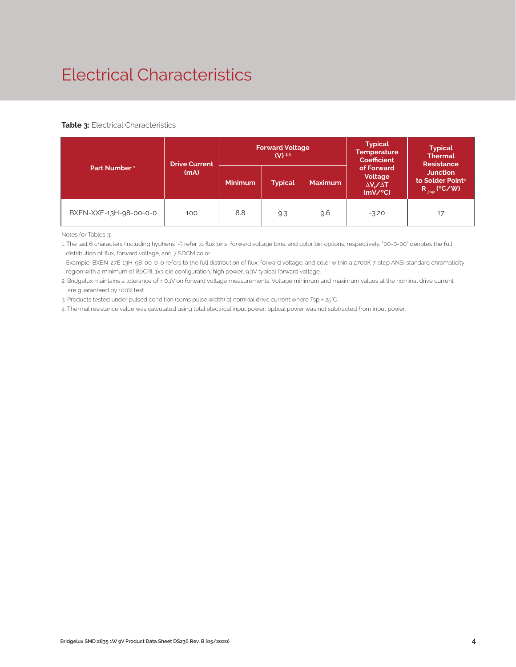# Electrical Characteristics

#### **Table 3: Electrical Characteristics**

|                          | <b>Drive Current</b> |                | <b>Forward Voltage</b><br>$(V)$ <sup>2,3</sup> |                | <b>Typical</b><br><b>Temperature</b><br><b>Coefficient</b>  | <b>Typical</b><br><b>Thermal</b><br><b>Resistance</b><br><b>Junction</b><br>to Solder Point <sup>4</sup><br>$R_{j-sp}$ (°C/W) |  |
|--------------------------|----------------------|----------------|------------------------------------------------|----------------|-------------------------------------------------------------|-------------------------------------------------------------------------------------------------------------------------------|--|
| Part Number <sup>1</sup> | (mA)                 | <b>Minimum</b> | <b>Typical</b>                                 | <b>Maximum</b> | of Forward<br>Voltage<br>$\Delta V \sim \Delta T$<br>(mV/C) |                                                                                                                               |  |
| BXEN-XXE-13H-98-00-0-0   | 100                  | 8.8            | 9.3                                            | 9.6            | $-3.20$                                                     | 17                                                                                                                            |  |

Notes for Tables 3:

1. The last 6 characters (including hyphens '-') refer to flux bins, forward voltage bins, and color bin options, respectively. "00-0-00" denotes the full distribution of flux, forward voltage, and 7 SDCM color.

 Example: BXEN-27E-13H-98-00-0-0 refers to the full distribution of flux, forward voltage, and color within a 2700K 7-step ANSI standard chromaticity region with a minimum of 80CRI, 1x3 die configuration, high power, 9.3V typical forward voltage.

2. Bridgelux maintains a tolerance of ± 0.1V on forward voltage measurements. Voltage minimum and maximum values at the nominal drive current are guaranteed by 100% test.

3. Products tested under pulsed condition (10ms pulse width) at nominal drive current where Tsp = 25°C.

4. Thermal resistance value was calculated using total electrical input power; optical power was not subtracted from input power.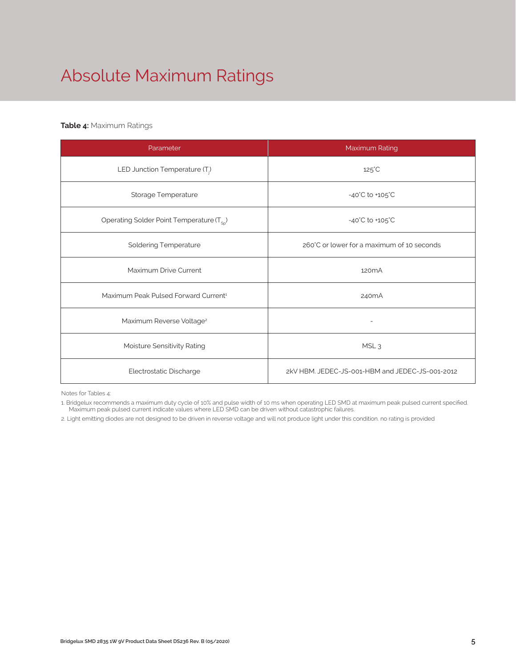# Absolute Maximum Ratings

#### **Table 4:** Maximum Ratings

| Parameter                                             | Maximum Rating                                  |  |  |  |  |
|-------------------------------------------------------|-------------------------------------------------|--|--|--|--|
| LED Junction Temperature (T <sub>i</sub> )            | $125^{\circ}$ C                                 |  |  |  |  |
| Storage Temperature                                   | $-40^{\circ}$ C to $+105^{\circ}$ C             |  |  |  |  |
| Operating Solder Point Temperature (T <sub>SD</sub> ) | $-40^{\circ}$ C to $+105^{\circ}$ C             |  |  |  |  |
| <b>Soldering Temperature</b>                          | 260°C or lower for a maximum of 10 seconds      |  |  |  |  |
| Maximum Drive Current                                 | 120 <sub>m</sub> A                              |  |  |  |  |
| Maximum Peak Pulsed Forward Current <sup>1</sup>      | 240 <sub>m</sub> A                              |  |  |  |  |
| Maximum Reverse Voltage <sup>2</sup>                  |                                                 |  |  |  |  |
| Moisture Sensitivity Rating                           | MSL <sub>3</sub>                                |  |  |  |  |
| Electrostatic Discharge                               | 2kV HBM. JEDEC-JS-001-HBM and JEDEC-JS-001-2012 |  |  |  |  |

Notes for Tables 4:

1. Bridgelux recommends a maximum duty cycle of 10% and pulse width of 10 ms when operating LED SMD at maximum peak pulsed current specified. Maximum peak pulsed current indicate values where LED SMD can be driven without catastrophic failures.

2. Light emitting diodes are not designed to be driven in reverse voltage and will not produce light under this condition. no rating is provided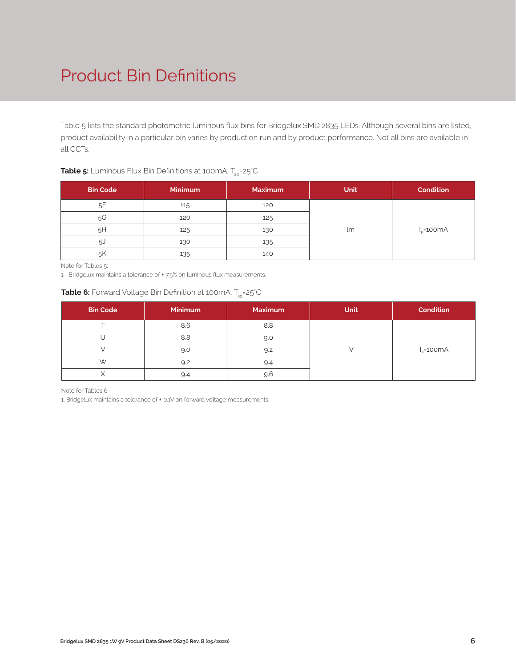# Product Bin Definitions

Table 5 lists the standard photometric luminous flux bins for Bridgelux SMD 2835 LEDs. Although several bins are listed, product availability in a particular bin varies by production run and by product performance. Not all bins are available in all CCTs.

#### **Table 5:** Luminous Flux Bin Definitions at 100mA, T<sub>sp</sub>=25°C

| <b>Bin Code</b> | <b>Minimum</b> | <b>Maximum</b> | Unit | <b>Condition</b> |
|-----------------|----------------|----------------|------|------------------|
| 5F              | 115            | 120            |      |                  |
| 5G              | 120            | 125            |      |                  |
| 5H              | 125            | 130            | lm   | $I_c = 100mA$    |
| .5J             | 130            | 135            |      |                  |
| .5K             | 135            | 140            |      |                  |

Note for Tables 5:

1. Bridgelux maintains a tolerance of ±7.5% on luminous flux measurements.

#### **Table 6:** Forward Voltage Bin Definition at 100mA, T<sub>cp</sub>=25°C

| <b>Bin Code</b> | <b>Minimum</b> | <b>Maximum</b> | <b>Unit</b> | <b>Condition</b> |
|-----------------|----------------|----------------|-------------|------------------|
|                 | 8.6            | 8.8            |             |                  |
|                 | 8.8            | 9.0            |             |                  |
|                 | 9.0            | 9.2            |             | $I_c = 100mA$    |
| W               | 9.2            | 9.4            |             |                  |
|                 | 9.4            | 9.6            |             |                  |

Note for Tables 6:

1. Bridgelux maintains a tolerance of ± 0.1V on forward voltage measurements.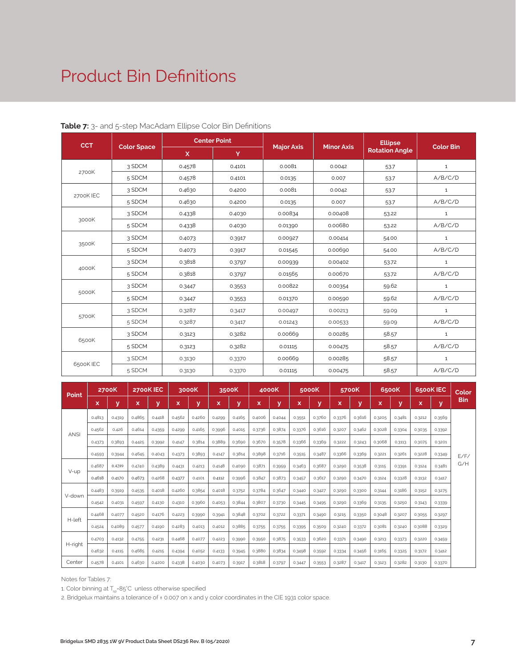### Product Bin Definitions

| <b>CCT</b> |                    | <b>Center Point</b> |        |                   | <b>Minor Axis</b> | <b>Ellipse</b>        | <b>Color Bin</b> |  |
|------------|--------------------|---------------------|--------|-------------------|-------------------|-----------------------|------------------|--|
|            | <b>Color Space</b> | $\mathbf{x}$        | Y      | <b>Major Axis</b> |                   | <b>Rotation Angle</b> |                  |  |
|            | 3 SDCM             | 0.4578              | 0.4101 | 0.0081            | 0.0042            | 53.7                  | $\mathbf{1}$     |  |
| 2700K      | 5 SDCM             | 0.4578              | 0.4101 | 0.0135            | 0.007             | 53.7                  | A/B/C/D          |  |
| 2700K IEC  | 3 SDCM             | 0.4630              | 0.4200 | 0.0081            | 0.0042            | 53.7                  | $\mathbf{1}$     |  |
|            | 5 SDCM             | 0.4630              | 0.4200 | 0.0135            | 0.007             | 53.7                  | A/B/C/D          |  |
|            | 3 SDCM             | 0.4338              | 0.4030 | 0.00834           | 0.00408           | 53.22                 | $\mathbf{1}$     |  |
| 3000K      | 5 SDCM             | 0.4338              | 0.4030 | 0.01390           | 0.00680           | 53.22                 | A/B/C/D          |  |
|            | 3 SDCM             | 0.4073              | 0.3917 | 0.00927           | 0.00414           | 54.00                 | $\mathbf 1$      |  |
| 3500K      | 5 SDCM             | 0.4073              | 0.3917 | 0.01545           | 0.00690           | 54.00                 | A/B/C/D          |  |
|            | 3 SDCM             | 0.3818              | 0.3797 | 0.00939           | 0.00402           | 53.72                 | $\mathbf{1}$     |  |
| 4000K      | 5 SDCM             | 0.3818              | 0.3797 | 0.01565           | 0.00670           | 53.72                 | A/B/C/D          |  |
|            | 3 SDCM             | 0.3447              | 0.3553 | 0.00822           | 0.00354           | 59.62                 | $\mathbf{1}$     |  |
| 5000K      | 5 SDCM             | 0.3447              | 0.3553 | 0.01370           | 0.00590           | 59.62                 | A/B/C/D          |  |
|            | 3 SDCM             | 0.3287              | 0.3417 | 0.00497           | 0.00213           | 59.09                 | $\mathbf 1$      |  |
| 5700K      | 5 SDCM             | 0.3287              | 0.3417 | 0.01243           | 0.00533           | 59.09                 | A/B/C/D          |  |
|            | 3 SDCM             | 0.3123              | 0.3282 | 0.00669           | 0.00285           | 58.57                 | $\mathbf{1}$     |  |
| 6500K      | 5 SDCM             | 0.3123              | 0.3282 | 0.01115           | 0.00475           | 58.57                 | A/B/C/D          |  |
|            | 3 SDCM             | 0.3130              | 0.3370 | 0.00669           | 0.00285           | 58.57                 | $\mathbf{1}$     |  |
| 6500K IEC  | 5 SDCM             | 0.3130              | 0.3370 | 0.01115           | 0.00475           | 58.57                 | A/B/C/D          |  |

#### **Table 7:** 3- and 5-step MacAdam Ellipse Color Bin Definitions

| Point       |        | <b>2700K</b> |        | 2700K IEC |        | 3000K  |        | 3500K  |        | 4000K  |        | 5000K  |        | 5700K  |        | 6500K  |        | 6500K IEC | Color      |
|-------------|--------|--------------|--------|-----------|--------|--------|--------|--------|--------|--------|--------|--------|--------|--------|--------|--------|--------|-----------|------------|
|             | x      | v            | x      | v         | x      | v      | x      | ۷      | x      | v      | x      | V      | x      | v      | ×      | ۷      | x      | y         | <b>Bin</b> |
|             | 0.4813 | 0.4319       | 0.4865 | 0.4418    | 0.4562 | 0.4260 | 0.4299 | 0.4165 | 0.4006 | 0.4044 | 0.3551 | 0.3760 | 0.3376 | 0.3616 | 0.3205 | 0.3481 | 0.3212 | 0.3569    |            |
| <b>ANSI</b> | 0.4562 | 0.426        | 0.4614 | 0.4359    | 0.4299 | 0.4165 | 0.3996 | 0.4015 | 0.3736 | 0.3874 | 0.3376 | 0.3616 | 0.3207 | 0.3462 | 0.3028 | 0.3304 | 0.3035 | 0.3392    |            |
|             | 0.4373 | 0.3893       | 0.4425 | 0.3992    | 0.4147 | 0.3814 | 0.3889 | 0.3690 | 0.3670 | 0.3578 | 0.3366 | 0.3369 | 0.3222 | 0.3243 | 0.3068 | 0.3113 | 0.3075 | 0.3201    |            |
|             | 0.4593 | 0.3944       | 0.4645 | 0.4043    | 0.4373 | 0.3893 | 0.4147 | 0.3814 | 0.3898 | 0.3716 | 0.3515 | 0.3487 | 0.3366 | 0.3369 | 0.3221 | 0.3261 | 0.3228 | 0.3349    | E/F/       |
|             | 0.4687 | 0.4289       | 0.4740 | 0.4389    | 0.4431 | 0.4213 | 0.4148 | 0.4090 | 0.3871 | 0.3959 | 0.3463 | 0.3687 | 0.3290 | 0.3538 | 0.3115 | 0.3391 | 0.3124 | 0.3481    | G/H        |
| V-up        | 0.4618 | 0.4170       | 0.4673 | 0.4268    | 0.4377 | 0.4101 | 0.4112 | 0.3996 | 0.3847 | 0.3873 | 0.3457 | 0.3617 | 0.3290 | 0.3470 | 0.3124 | 0.3328 | 0.3132 | 0.3417    |            |
|             | 0.4483 | 0.3919       | 0.4535 | 0.4018    | 0.4260 | 0.3854 | 0.4018 | 0.3752 | 0.3784 | 0.3647 | 0.3440 | 0.3427 | 0.3290 | 0.3300 | 0.3144 | 0.3186 | 0.3152 | 0.3275    |            |
| V-down      | 0.4542 | 0.4031       | 0.4597 | 0.4130    | 0.4310 | 0.3960 | 0.4053 | 0.3844 | 0.3807 | 0.3730 | 0.3445 | 0.3495 | 0.3290 | 0.3369 | 0.3135 | 0.3250 | 0.3143 | 0.3339    |            |
|             | 0.4468 | 0.4077       | 0.4520 | 0.4176    | 0.4223 | 0.3990 | 0.3941 | 0.3848 | 0.3702 | 0.3722 | 0.3371 | 0.3490 | 0.3215 | 0.3350 | 0.3048 | 0.3207 | 0.3055 | 0.3297    |            |
| H-left      | 0.4524 | 0.4089       | 0.4577 | 0.4190    | 0.4283 | 0.4013 | 0.4012 | 0.3885 | 0.3755 | 0.3755 | 0.3395 | 0.3509 | 0.3240 | 0.3372 | 0.3081 | 0.3240 | 0.3088 | 0.3329    |            |
|             | 0.4703 | 0.4132       | 0.4755 | 0.4231    | 0.4468 | 0.4077 | 0.4223 | 0.3990 | 0.3950 | 0.3875 | 0.3533 | 0.3620 | 0.3371 | 0.3490 | 0.3213 | 0.3373 | 0.3220 | 0.3459    |            |
| H-right     | 0.4632 | 0.4115       | 0.4685 | 0.4215    | 0.4394 | 0.4052 | 0.4133 | 0.3945 | 0.3880 | 0.3834 | 0.3498 | 0.3592 | 0.3334 | 0.3456 | 0.3165 | 0.3325 | 0.3172 | 0.3412    |            |
| Center      | 0.4578 | 0.4101       | 0.4630 | 0.4200    | 0.4338 | 0.4030 | 0.4073 | 0.3917 | 0.3818 | 0.3797 | 0.3447 | 0.3553 | 0.3287 | 0.3417 | 0.3123 | 0.3282 | 0.3130 | 0.3370    |            |

Notes for Tables 7:

1. Color binning at  $T_{\rm so}$ =85°C unless otherwise specified

2. Bridgelux maintains a tolerance of ± 0.007 on x and y color coordinates in the CIE 1931 color space.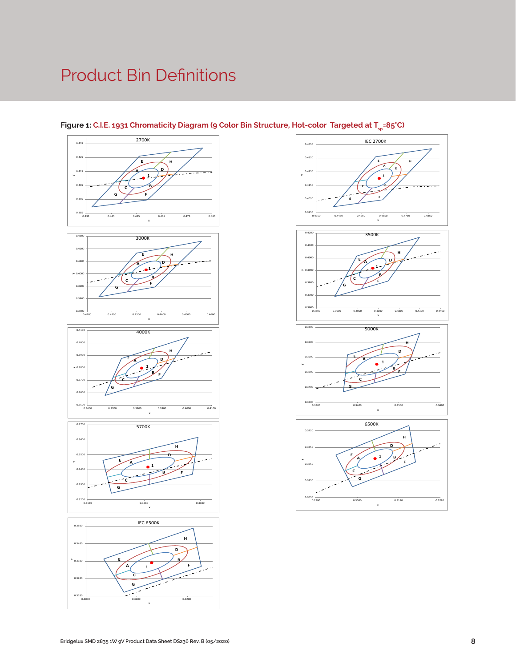# Product Bin Definitions











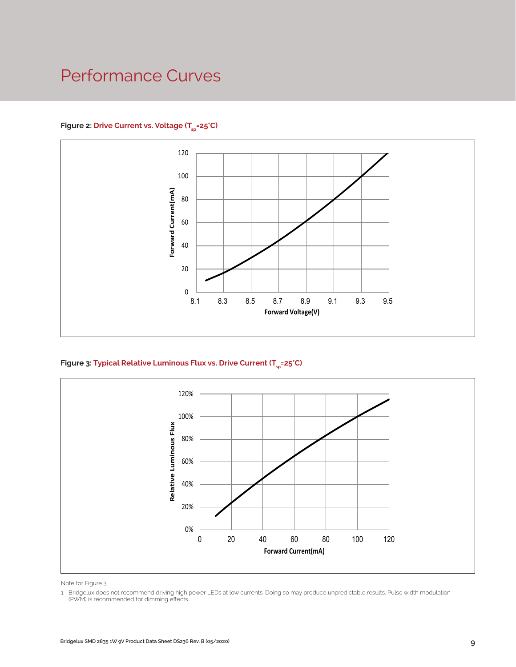### Performance Curves

#### Figure 2: Drive Current vs. Voltage (T<sub>SD</sub>=25°C)



Figure 3: Typical Relative Luminous Flux vs. Drive Current (T<sub>sp</sub>=25°C)



Note for Figure 3:

<sup>1.</sup> Bridgelux does not recommend driving high power LEDs at low currents. Doing so may produce unpredictable results. Pulse width modulation (PWM) is recommended for dimming effects.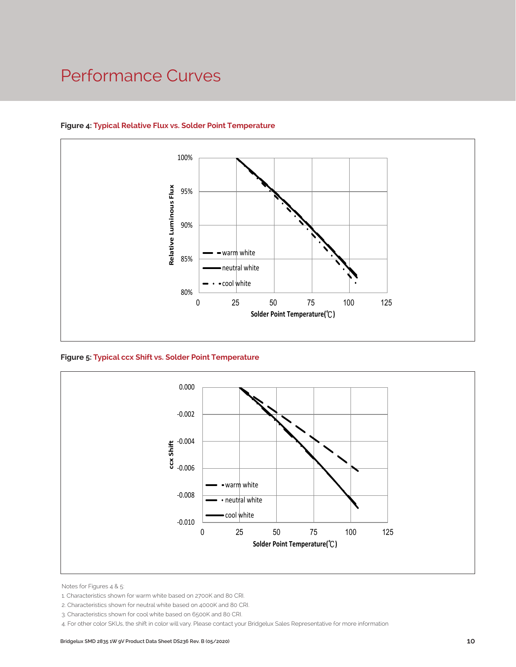### Performance Curves



#### **Figure 4: Typical Relative Flux vs. Solder Point Temperature**

**Figure 5: Typical ccx Shift vs. Solder Point Temperature**



Notes for Figures 4 & 5:

4. For other color SKUs, the shift in color will vary. Please contact your Bridgelux Sales Representative for more information

<sup>1.</sup> Characteristics shown for warm white based on 2700K and 80 CRI.

<sup>2.</sup> Characteristics shown for neutral white based on 4000K and 80 CRI.

<sup>3.</sup> Characteristics shown for cool white based on 6500K and 80 CRI.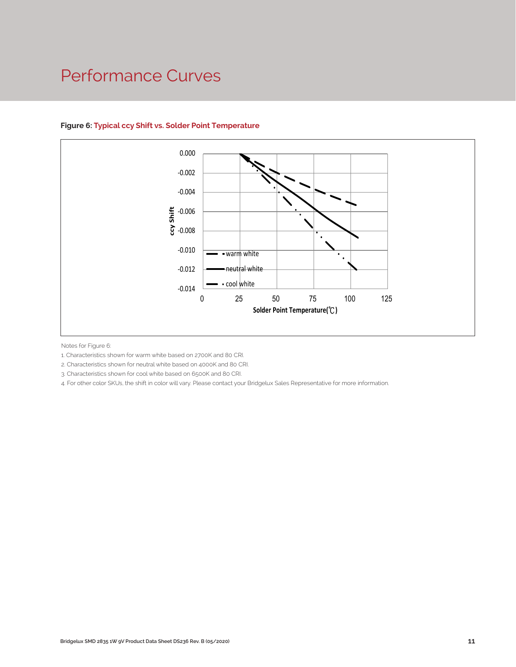### Performance Curves



#### **Figure 6: Typical ccy Shift vs. Solder Point Temperature**

Notes for Figure 6:

1. Characteristics shown for warm white based on 2700K and 80 CRI.

2. Characteristics shown for neutral white based on 4000K and 80 CRI.

3. Characteristics shown for cool white based on 6500K and 80 CRI.

4. For other color SKUs, the shift in color will vary. Please contact your Bridgelux Sales Representative for more information.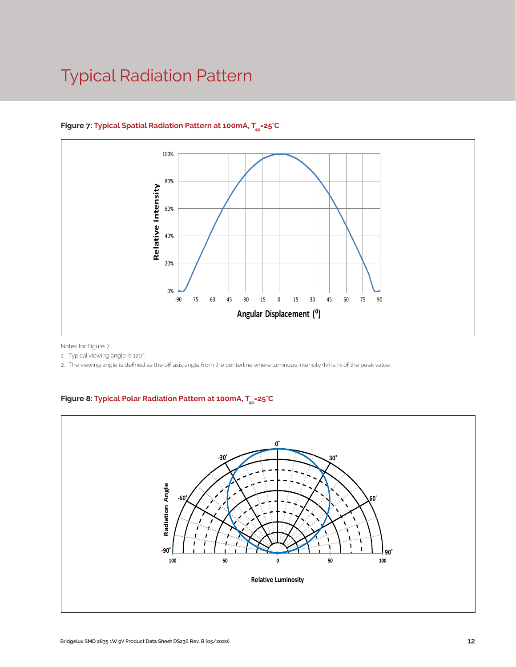## Typical Radiation Pattern



#### Figure 7: Typical Spatial Radiation Pattern at 100mA, T<sub>en</sub>=25°C

Notes for Figure 7:

1. Typical viewing angle is 120°.

2. The viewing angle is defined as the off axis angle from the centerline where luminous intensity (Iv) is ½ of the peak value.

### Figure 8: Typical Polar Radiation Pattern at 100mA, T<sub>sp</sub>=25°C

.

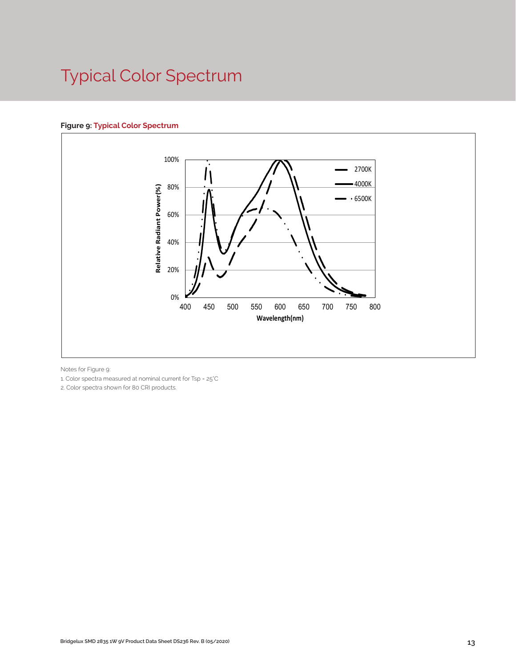# Typical Color Spectrum

#### **Figure 9: Typical Color Spectrum**



Notes for Figure 9:

1. Color spectra measured at nominal current for Tsp = 25°C

2. Color spectra shown for 80 CRI products.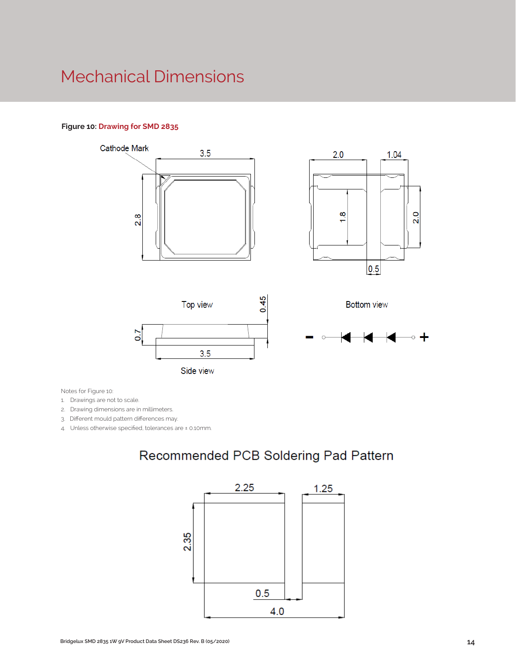### Mechanical Dimensions

#### **Figure 10: Drawing for SMD 2835**



Notes for Figure 10:

1. Drawings are not to scale.

2. Drawing dimensions are in millimeters.

3. Different mould pattern differences may.

4. Unless otherwise specified, tolerances are ± 0.10mm.

### Recommended PCB Soldering Pad Pattern

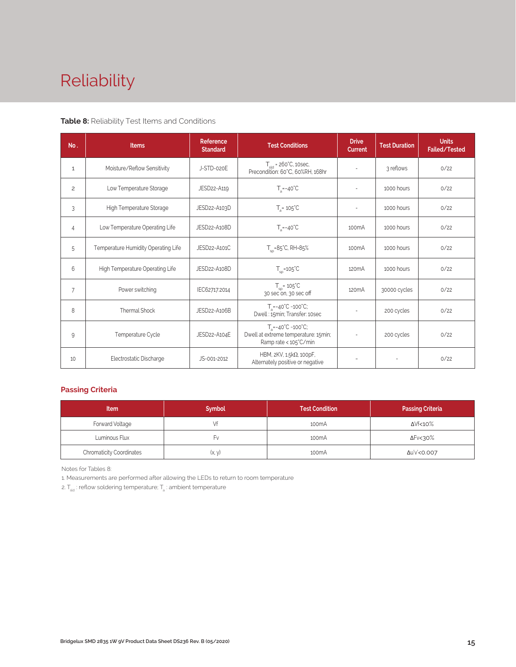# Reliability

#### **Table 8:** Reliability Test Items and Conditions

| No.            | <b>Items</b>                        | <b>Reference</b><br><b>Test Conditions</b><br><b>Standard</b> |                                                                                                        | <b>Drive</b><br><b>Current</b> | <b>Test Duration</b> | <b>Units</b><br>Failed/Tested |
|----------------|-------------------------------------|---------------------------------------------------------------|--------------------------------------------------------------------------------------------------------|--------------------------------|----------------------|-------------------------------|
| 1              | Moisture/Reflow Sensitivity         | J-STD-020E                                                    | $T_{\text{cld}}$ = 260°C, 10sec,<br>Precondition: 60°C, 60%RH, 168hr                                   |                                | 3 reflows            | 0/22                          |
| $\overline{c}$ | Low Temperature Storage             | JESD22-A119                                                   | $T_a = -40^{\circ}C$                                                                                   | $\bar{a}$                      | 1000 hours           | 0/22                          |
| 3              | High Temperature Storage            | JESD22-A103D                                                  | $T_a = 105^{\circ}C$                                                                                   | $\overline{a}$                 | 1000 hours           | 0/22                          |
| $\overline{4}$ | Low Temperature Operating Life      | JESD22-A108D                                                  | $T_s = -40^{\circ}C$                                                                                   | 100 <sub>m</sub> A             | 1000 hours           | 0/22                          |
| 5              | Temperature Humidity Operating Life | JESD22-A101C                                                  | $T_{SD} = 85^{\circ}$ C, RH=85%                                                                        | 100 <sub>m</sub> A             | 1000 hours           | 0/22                          |
| 6              | High Temperature Operating Life     | JESD22-A108D                                                  | $T_{\rm sn}$ =105°C                                                                                    | 120 <sub>m</sub> A             | 1000 hours           | 0/22                          |
| $\overline{7}$ | Power switching                     | IEC62717:2014                                                 | $T_{\rm SD}$ = 105 $\degree$ C<br>30 sec on, 30 sec off                                                | 120 <sub>m</sub> A             | 30000 cycles         | 0/22                          |
| 8              | Thermal Shock                       | JESD22-A106B                                                  | $T_a = -40^{\circ}C - 100^{\circ}C$ ;<br>Dwell: 15min; Transfer: 10sec                                 | $\overline{\phantom{a}}$       | 200 cycles           | 0/22                          |
| 9              | Temperature Cycle                   | JESD22-A104E                                                  | $T_a = -40^{\circ}C - 100^{\circ}C$ ;<br>Dwell at extreme temperature: 15min;<br>Ramp rate < 105°C/min |                                | 200 cycles           | 0/22                          |
| 10             | Electrostatic Discharge             | JS-001-2012                                                   | HBM, 2KV, 1.5kΩ, 100pF,<br>Alternately positive or negative                                            |                                |                      | 0/22                          |

#### **Passing Criteria**

| <b>Item</b>                     | <b>Symbol</b> | <b>Test Condition</b> | <b>Passing Criteria</b> |
|---------------------------------|---------------|-----------------------|-------------------------|
| Forward Voltage                 |               | 100 <sub>m</sub> A    | ΔVf<10%                 |
| Luminous Flux                   | ۲v            | 100 <sub>m</sub> A    | ΔFν<30%                 |
| <b>Chromaticity Coordinates</b> | (x, y)        | 100 <sub>m</sub> A    | Δu'v'<0.007             |

Notes for Tables 8:

1. Measurements are performed after allowing the LEDs to return to room temperature

2.  $T_{\sf std}$  : reflow soldering temperature;  $T_{\sf a}$  : ambient temperature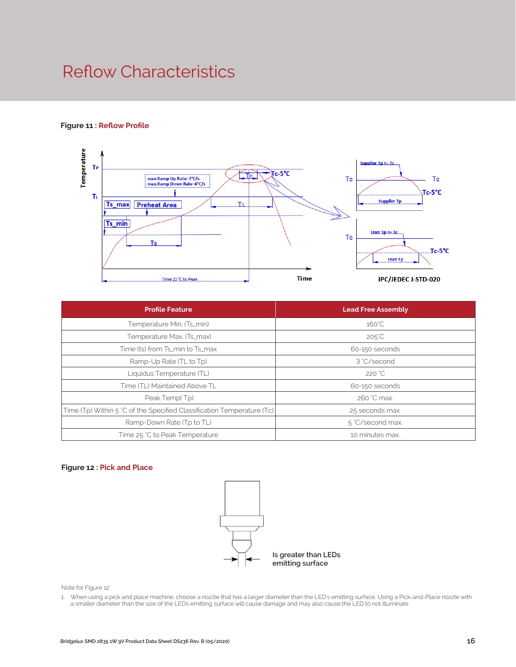### Reflow Characteristics

#### **Figure 11 : Reflow Profile**



| <b>Profile Feature</b>                                                 | <b>Lead Free Assembly</b> |  |  |  |
|------------------------------------------------------------------------|---------------------------|--|--|--|
| Temperature Min. (Ts_min)                                              | $160^{\circ}$ C           |  |  |  |
| Temperature Max. (Ts_max)                                              | $205^{\circ}$ C           |  |  |  |
| Time (ts) from Ts_min to Ts_max                                        | 60-150 seconds            |  |  |  |
| Ramp-Up Rate (TL to Tp)                                                | 3 °C/second               |  |  |  |
| Liquidus Temperature (TL)                                              | 220 °C                    |  |  |  |
| Time (TL) Maintained Above TL                                          | 60-150 seconds            |  |  |  |
| Peak Temp(Tp)                                                          | 260 °C max.               |  |  |  |
| Time (Tp) Within 5 °C of the Specified Classification Temperature (Tc) | 25 seconds max.           |  |  |  |
| Ramp-Down Rate (Tp to TL)                                              | 5 °C/second max.          |  |  |  |
| Time 25 °C to Peak Temperature                                         | 10 minutes max.           |  |  |  |

#### **Figure 12 : Pick and Place**



Note for Figure 12:

1. When using a pick and place machine, choose a nozzle that has a larger diameter than the LED's emitting surface. Using a Pick-and-Place nozzle with a smaller diameter than the size of the LEDs emitting surface will cause damage and may also cause the LED to not illuminate.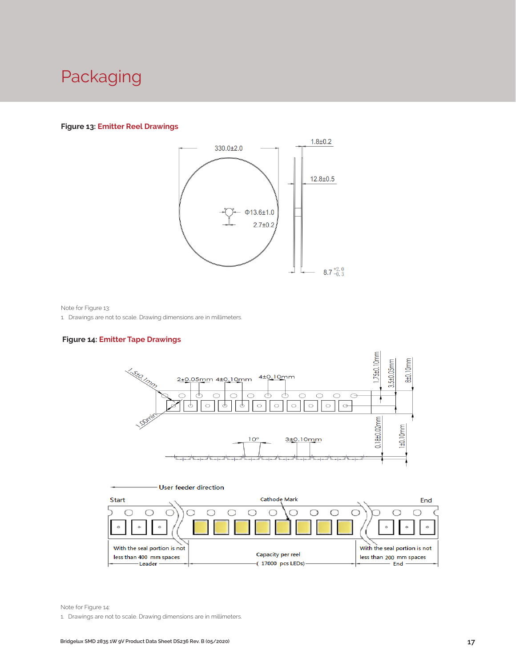### Packaging

#### **Figure 13: Emitter Reel Drawings**



Note for Figure 13:

1. Drawings are not to scale. Drawing dimensions are in millimeters.

#### **Figure 14: Emitter Tape Drawings**





Note for Figure 14:

1. Drawings are not to scale. Drawing dimensions are in millimeters.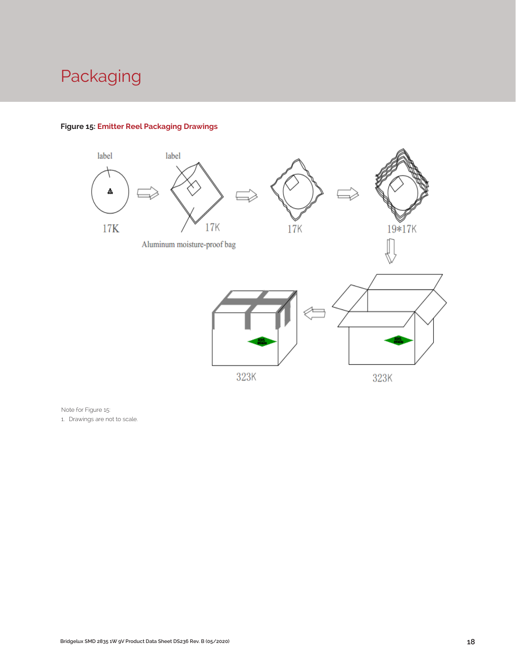# Packaging



#### **Figure 15: Emitter Reel Packaging Drawings**

Note for Figure 15:

1. Drawings are not to scale.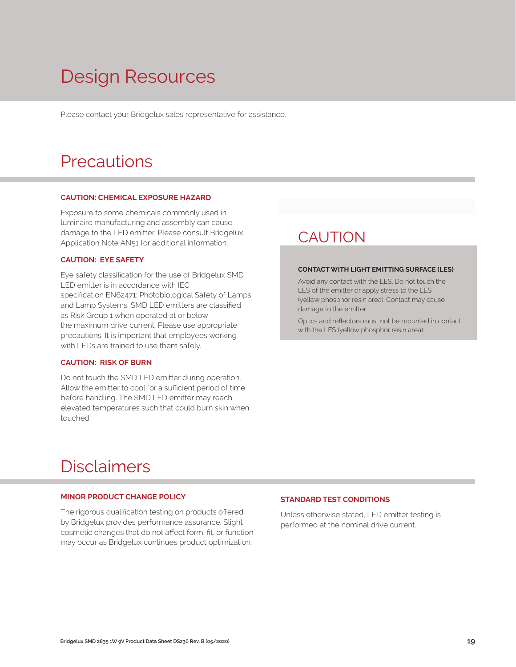# Design Resources

Please contact your Bridgelux sales representative for assistance.

### **Precautions**

#### **CAUTION: CHEMICAL EXPOSURE HAZARD**

Exposure to some chemicals commonly used in luminaire manufacturing and assembly can cause damage to the LED emitter. Please consult Bridgelux Application Note AN51 for additional information.

#### **CAUTION: EYE SAFETY**

Eye safety classification for the use of Bridgelux SMD LED emitter is in accordance with IEC specification EN62471: Photobiological Safety of Lamps and Lamp Systems. SMD LED emitters are classified as Risk Group 1 when operated at or below the maximum drive current. Please use appropriate precautions. It is important that employees working with LEDs are trained to use them safely.

#### **CAUTION: RISK OF BURN**

Do not touch the SMD LED emitter during operation. Allow the emitter to cool for a sufficient period of time before handling. The SMD LED emitter may reach elevated temperatures such that could burn skin when touched.

### **CAUTION**

#### **CONTACT WITH LIGHT EMITTING SURFACE (LES)**

Avoid any contact with the LES. Do not touch the LES of the emitter or apply stress to the LES (yellow phosphor resin area). Contact may cause damage to the emitter

Optics and reflectors must not be mounted in contact with the LES (yellow phosphor resin area).

### Disclaimers

#### **MINOR PRODUCT CHANGE POLICY**

The rigorous qualification testing on products offered by Bridgelux provides performance assurance. Slight cosmetic changes that do not affect form, fit, or function may occur as Bridgelux continues product optimization.

#### **STANDARD TEST CONDITIONS**

Unless otherwise stated, LED emitter testing is performed at the nominal drive current.